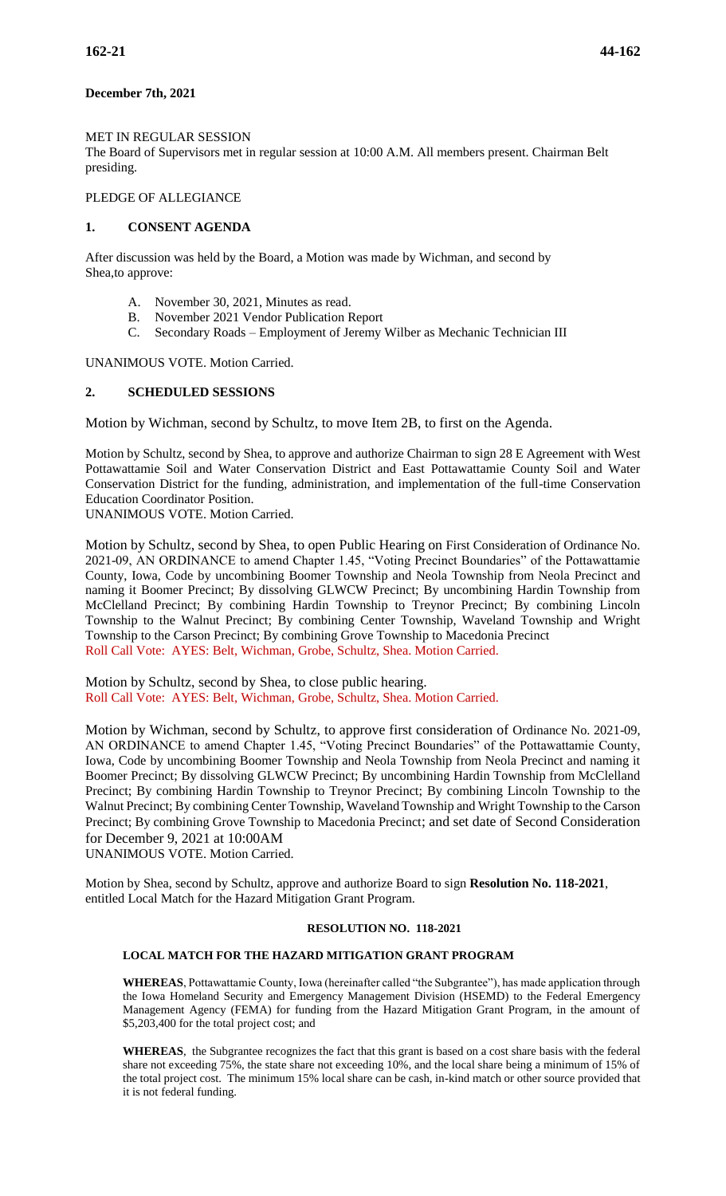# **December 7th, 2021**

## MET IN REGULAR SESSION

The Board of Supervisors met in regular session at 10:00 A.M. All members present. Chairman Belt presiding.

# PLEDGE OF ALLEGIANCE

# **1. CONSENT AGENDA**

After discussion was held by the Board, a Motion was made by Wichman, and second by Shea,to approve:

- A. November 30, 2021, Minutes as read.
- B. November 2021 Vendor Publication Report
- C. Secondary Roads Employment of Jeremy Wilber as Mechanic Technician III

UNANIMOUS VOTE. Motion Carried.

# **2. SCHEDULED SESSIONS**

Motion by Wichman, second by Schultz, to move Item 2B, to first on the Agenda.

Motion by Schultz, second by Shea, to approve and authorize Chairman to sign 28 E Agreement with West Pottawattamie Soil and Water Conservation District and East Pottawattamie County Soil and Water Conservation District for the funding, administration, and implementation of the full-time Conservation Education Coordinator Position.

UNANIMOUS VOTE. Motion Carried.

Motion by Schultz, second by Shea, to open Public Hearing on First Consideration of Ordinance No. 2021-09, AN ORDINANCE to amend Chapter 1.45, "Voting Precinct Boundaries" of the Pottawattamie County, Iowa, Code by uncombining Boomer Township and Neola Township from Neola Precinct and naming it Boomer Precinct; By dissolving GLWCW Precinct; By uncombining Hardin Township from McClelland Precinct; By combining Hardin Township to Treynor Precinct; By combining Lincoln Township to the Walnut Precinct; By combining Center Township, Waveland Township and Wright Township to the Carson Precinct; By combining Grove Township to Macedonia Precinct Roll Call Vote: AYES: Belt, Wichman, Grobe, Schultz, Shea. Motion Carried.

Motion by Schultz, second by Shea, to close public hearing. Roll Call Vote: AYES: Belt, Wichman, Grobe, Schultz, Shea. Motion Carried.

Motion by Wichman, second by Schultz, to approve first consideration of Ordinance No. 2021-09, AN ORDINANCE to amend Chapter 1.45, "Voting Precinct Boundaries" of the Pottawattamie County, Iowa, Code by uncombining Boomer Township and Neola Township from Neola Precinct and naming it Boomer Precinct; By dissolving GLWCW Precinct; By uncombining Hardin Township from McClelland Precinct; By combining Hardin Township to Treynor Precinct; By combining Lincoln Township to the Walnut Precinct; By combining Center Township, Waveland Township and Wright Township to the Carson Precinct; By combining Grove Township to Macedonia Precinct; and set date of Second Consideration for December 9, 2021 at 10:00AM

UNANIMOUS VOTE. Motion Carried.

Motion by Shea, second by Schultz, approve and authorize Board to sign **Resolution No. 118-2021**, entitled Local Match for the Hazard Mitigation Grant Program.

## **RESOLUTION NO. 118-2021**

## **LOCAL MATCH FOR THE HAZARD MITIGATION GRANT PROGRAM**

**WHEREAS**, Pottawattamie County, Iowa (hereinafter called "the Subgrantee"), has made application through the Iowa Homeland Security and Emergency Management Division (HSEMD) to the Federal Emergency Management Agency (FEMA) for funding from the Hazard Mitigation Grant Program, in the amount of \$5,203,400 for the total project cost; and

**WHEREAS**, the Subgrantee recognizes the fact that this grant is based on a cost share basis with the federal share not exceeding 75%, the state share not exceeding 10%, and the local share being a minimum of 15% of the total project cost. The minimum 15% local share can be cash, in-kind match or other source provided that it is not federal funding.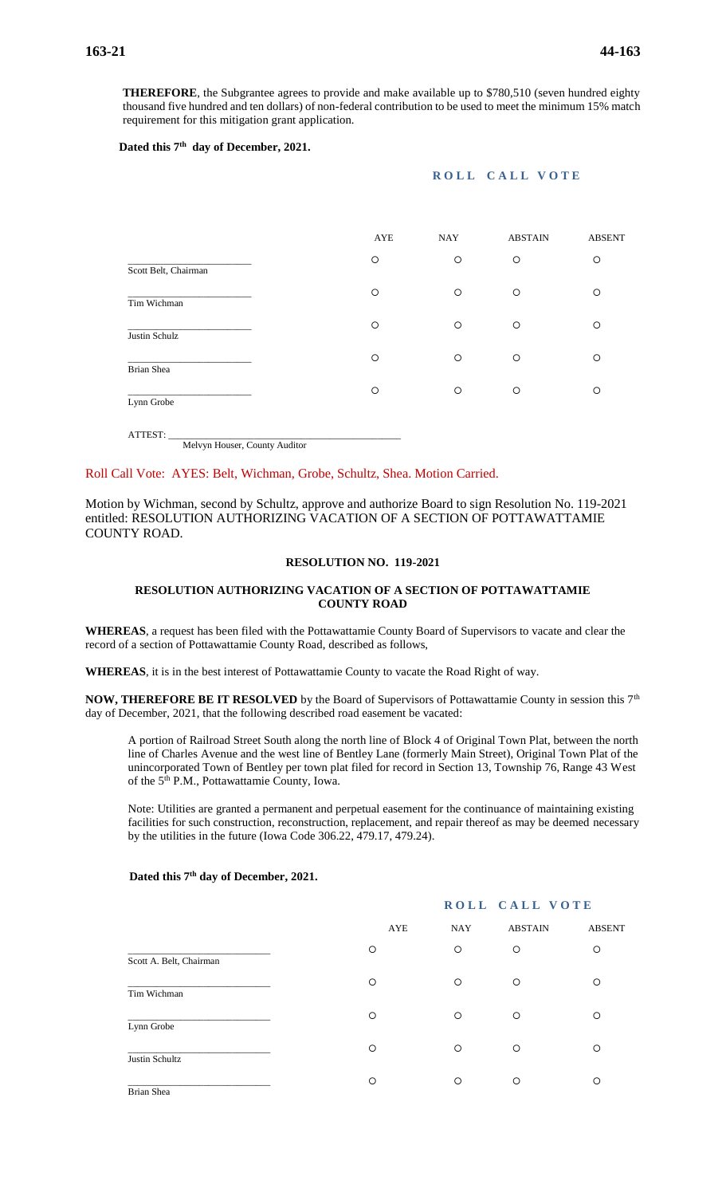**THEREFORE**, the Subgrantee agrees to provide and make available up to \$780,510 (seven hundred eighty thousand five hundred and ten dollars) of non-federal contribution to be used to meet the minimum 15% match requirement for this mitigation grant application.

#### Dated this 7<sup>th</sup> day of December, 2021.

## **ROLL CALL VOTE**

|                      | AYE     | <b>NAY</b> | <b>ABSTAIN</b> | <b>ABSENT</b> |
|----------------------|---------|------------|----------------|---------------|
| Scott Belt, Chairman | $\circ$ | $\circ$    | $\circ$        | $\circ$       |
|                      |         |            |                |               |
| Tim Wichman          | $\circ$ | $\circ$    | $\circ$        | $\circ$       |
|                      | $\circ$ | $\circ$    | $\circ$        | $\circ$       |
| Justin Schulz        |         |            |                |               |
| Brian Shea           | $\circ$ | $\circ$    | $\circ$        | $\circ$       |
|                      | $\circ$ | $\circ$    | $\circ$        | $\circ$       |
| Lynn Grobe           |         |            |                |               |
| ATTEST:              |         |            |                |               |

Melvyn Houser, County Auditor

#### Roll Call Vote: AYES: Belt, Wichman, Grobe, Schultz, Shea. Motion Carried.

Motion by Wichman, second by Schultz, approve and authorize Board to sign Resolution No. 119-2021 entitled: RESOLUTION AUTHORIZING VACATION OF A SECTION OF POTTAWATTAMIE COUNTY ROAD.

## **RESOLUTION NO. 119-2021**

#### **RESOLUTION AUTHORIZING VACATION OF A SECTION OF POTTAWATTAMIE COUNTY ROAD**

**WHEREAS**, a request has been filed with the Pottawattamie County Board of Supervisors to vacate and clear the record of a section of Pottawattamie County Road, described as follows,

**WHEREAS**, it is in the best interest of Pottawattamie County to vacate the Road Right of way.

**NOW, THEREFORE BE IT RESOLVED** by the Board of Supervisors of Pottawattamie County in session this 7th day of December, 2021, that the following described road easement be vacated:

A portion of Railroad Street South along the north line of Block 4 of Original Town Plat, between the north line of Charles Avenue and the west line of Bentley Lane (formerly Main Street), Original Town Plat of the unincorporated Town of Bentley per town plat filed for record in Section 13, Township 76, Range 43 West of the 5th P.M., Pottawattamie County, Iowa.

Note: Utilities are granted a permanent and perpetual easement for the continuance of maintaining existing facilities for such construction, reconstruction, replacement, and repair thereof as may be deemed necessary by the utilities in the future (Iowa Code 306.22, 479.17, 479.24).

# **ROLL CALL VOTE**  AYE NAY ABSTAIN ABSENT \_\_\_\_\_\_\_\_\_\_\_\_\_\_\_\_\_\_\_\_\_\_\_\_\_\_\_\_\_\_ Scott A. Belt, Chairman \_\_\_\_\_\_\_\_\_\_\_\_\_\_\_\_\_\_\_\_\_\_\_\_\_\_\_\_\_\_ Tim Wichman \_\_\_\_\_\_\_\_\_\_\_\_\_\_\_\_\_\_\_\_\_\_\_\_\_\_\_\_\_\_ Lynn Grobe \_\_\_\_\_\_\_\_\_\_\_\_\_\_\_\_\_\_\_\_\_\_\_\_\_\_\_\_\_\_ Justin Schultz \_\_\_\_\_\_\_\_\_\_\_\_\_\_\_\_\_\_\_\_\_\_\_\_\_\_\_\_\_\_ Brian Shea

## **Dated this 7th day of December, 2021.**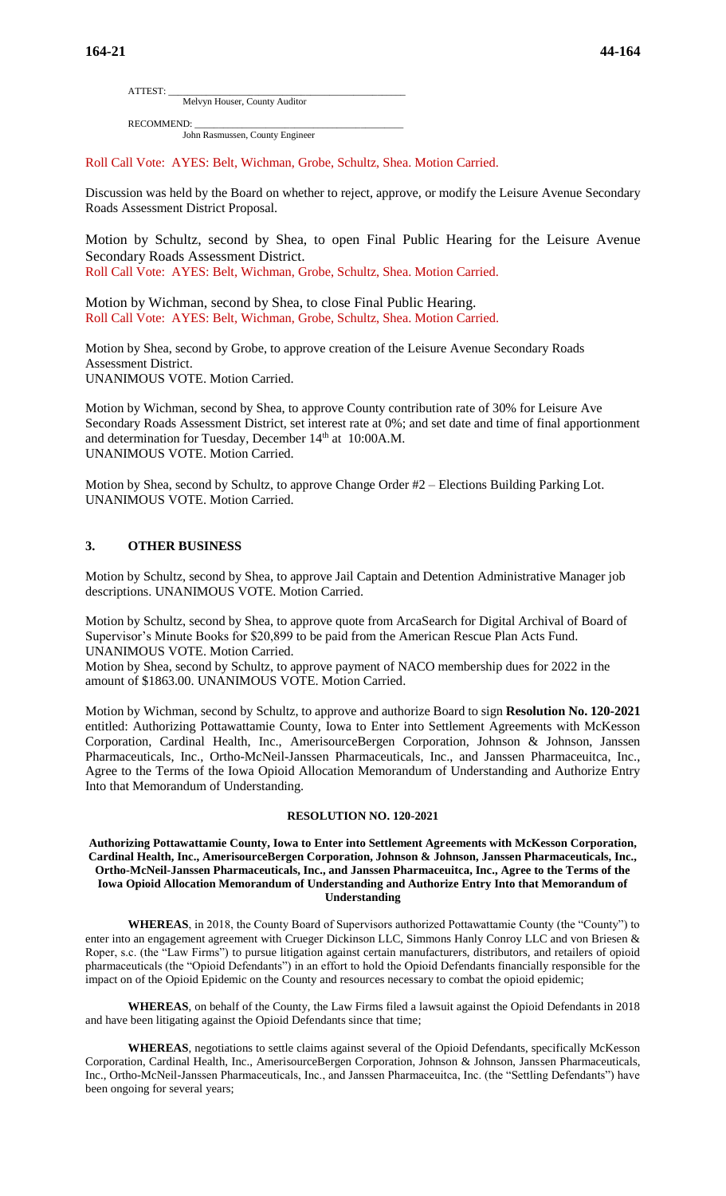ATTEST: \_\_\_\_\_\_\_\_\_\_\_\_\_\_\_\_\_\_\_\_\_\_\_\_\_\_\_\_\_\_\_\_\_\_\_\_\_\_\_\_\_\_\_\_\_\_\_\_\_\_

Melvyn Houser, County Auditor

RECOMMEND: John Rasmussen, County Engineer

Roll Call Vote: AYES: Belt, Wichman, Grobe, Schultz, Shea. Motion Carried.

Discussion was held by the Board on whether to reject, approve, or modify the Leisure Avenue Secondary Roads Assessment District Proposal.

Motion by Schultz, second by Shea, to open Final Public Hearing for the Leisure Avenue Secondary Roads Assessment District.

Roll Call Vote: AYES: Belt, Wichman, Grobe, Schultz, Shea. Motion Carried.

Motion by Wichman, second by Shea, to close Final Public Hearing. Roll Call Vote: AYES: Belt, Wichman, Grobe, Schultz, Shea. Motion Carried.

Motion by Shea, second by Grobe, to approve creation of the Leisure Avenue Secondary Roads Assessment District. UNANIMOUS VOTE. Motion Carried.

Motion by Wichman, second by Shea, to approve County contribution rate of 30% for Leisure Ave Secondary Roads Assessment District, set interest rate at 0%; and set date and time of final apportionment and determination for Tuesday, December 14<sup>th</sup> at 10:00A.M. UNANIMOUS VOTE. Motion Carried.

Motion by Shea, second by Schultz, to approve Change Order #2 – Elections Building Parking Lot. UNANIMOUS VOTE. Motion Carried.

## **3. OTHER BUSINESS**

Motion by Schultz, second by Shea, to approve Jail Captain and Detention Administrative Manager job descriptions. UNANIMOUS VOTE. Motion Carried.

Motion by Schultz, second by Shea, to approve quote from ArcaSearch for Digital Archival of Board of Supervisor's Minute Books for \$20,899 to be paid from the American Rescue Plan Acts Fund. UNANIMOUS VOTE. Motion Carried.

Motion by Shea, second by Schultz, to approve payment of NACO membership dues for 2022 in the amount of \$1863.00. UNANIMOUS VOTE. Motion Carried.

Motion by Wichman, second by Schultz, to approve and authorize Board to sign **Resolution No. 120-2021** entitled: Authorizing Pottawattamie County, Iowa to Enter into Settlement Agreements with McKesson Corporation, Cardinal Health, Inc., AmerisourceBergen Corporation, Johnson & Johnson, Janssen Pharmaceuticals, Inc., Ortho-McNeil-Janssen Pharmaceuticals, Inc., and Janssen Pharmaceuitca, Inc., Agree to the Terms of the Iowa Opioid Allocation Memorandum of Understanding and Authorize Entry Into that Memorandum of Understanding.

## **RESOLUTION NO. 120-2021**

**Authorizing Pottawattamie County, Iowa to Enter into Settlement Agreements with McKesson Corporation, Cardinal Health, Inc., AmerisourceBergen Corporation, Johnson & Johnson, Janssen Pharmaceuticals, Inc., Ortho-McNeil-Janssen Pharmaceuticals, Inc., and Janssen Pharmaceuitca, Inc., Agree to the Terms of the Iowa Opioid Allocation Memorandum of Understanding and Authorize Entry Into that Memorandum of Understanding**

**WHEREAS**, in 2018, the County Board of Supervisors authorized Pottawattamie County (the "County") to enter into an engagement agreement with Crueger Dickinson LLC, Simmons Hanly Conroy LLC and von Briesen & Roper, s.c. (the "Law Firms") to pursue litigation against certain manufacturers, distributors, and retailers of opioid pharmaceuticals (the "Opioid Defendants") in an effort to hold the Opioid Defendants financially responsible for the impact on of the Opioid Epidemic on the County and resources necessary to combat the opioid epidemic;

**WHEREAS**, on behalf of the County, the Law Firms filed a lawsuit against the Opioid Defendants in 2018 and have been litigating against the Opioid Defendants since that time;

**WHEREAS**, negotiations to settle claims against several of the Opioid Defendants, specifically McKesson Corporation, Cardinal Health, Inc., AmerisourceBergen Corporation, Johnson & Johnson, Janssen Pharmaceuticals, Inc., Ortho-McNeil-Janssen Pharmaceuticals, Inc., and Janssen Pharmaceuitca, Inc. (the "Settling Defendants") have been ongoing for several years;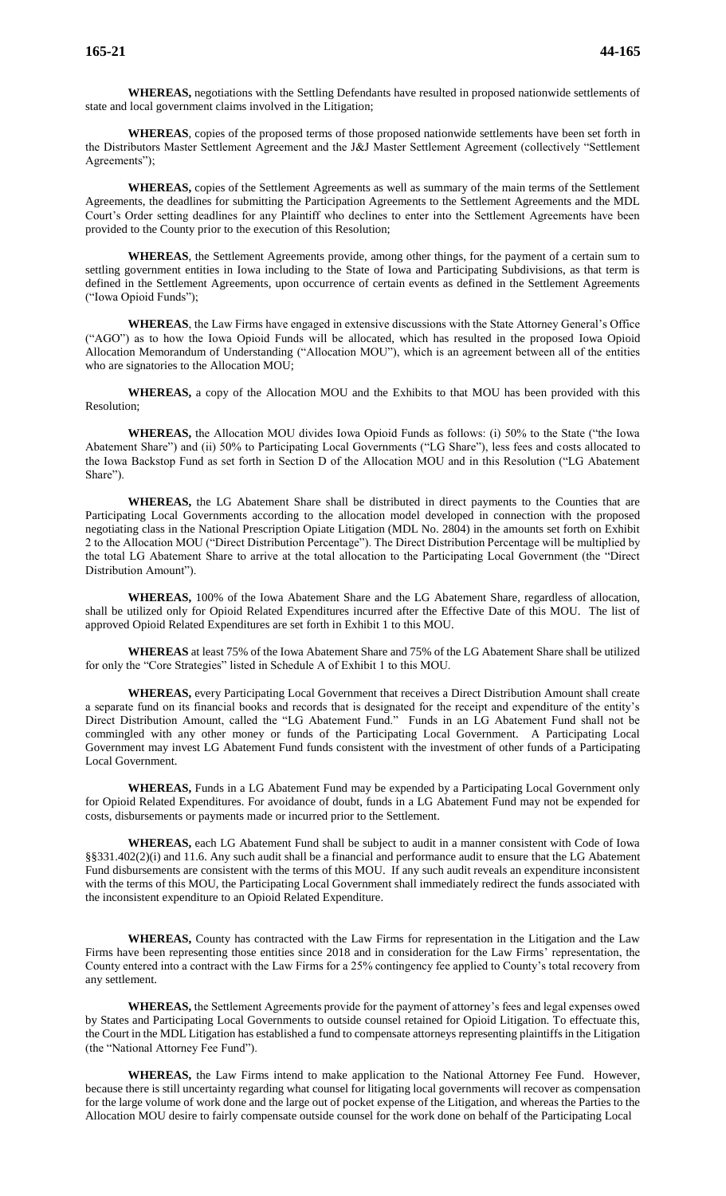**WHEREAS,** negotiations with the Settling Defendants have resulted in proposed nationwide settlements of state and local government claims involved in the Litigation;

**WHEREAS**, copies of the proposed terms of those proposed nationwide settlements have been set forth in the Distributors Master Settlement Agreement and the J&J Master Settlement Agreement (collectively "Settlement Agreements");

**WHEREAS,** copies of the Settlement Agreements as well as summary of the main terms of the Settlement Agreements, the deadlines for submitting the Participation Agreements to the Settlement Agreements and the MDL Court's Order setting deadlines for any Plaintiff who declines to enter into the Settlement Agreements have been provided to the County prior to the execution of this Resolution;

**WHEREAS**, the Settlement Agreements provide, among other things, for the payment of a certain sum to settling government entities in Iowa including to the State of Iowa and Participating Subdivisions, as that term is defined in the Settlement Agreements, upon occurrence of certain events as defined in the Settlement Agreements ("Iowa Opioid Funds");

**WHEREAS**, the Law Firms have engaged in extensive discussions with the State Attorney General's Office ("AGO") as to how the Iowa Opioid Funds will be allocated, which has resulted in the proposed Iowa Opioid Allocation Memorandum of Understanding ("Allocation MOU"), which is an agreement between all of the entities who are signatories to the Allocation MOU;

**WHEREAS,** a copy of the Allocation MOU and the Exhibits to that MOU has been provided with this Resolution;

**WHEREAS,** the Allocation MOU divides Iowa Opioid Funds as follows: (i) 50% to the State ("the Iowa Abatement Share") and (ii) 50% to Participating Local Governments ("LG Share"), less fees and costs allocated to the Iowa Backstop Fund as set forth in Section D of the Allocation MOU and in this Resolution ("LG Abatement Share").

**WHEREAS,** the LG Abatement Share shall be distributed in direct payments to the Counties that are Participating Local Governments according to the allocation model developed in connection with the proposed negotiating class in the National Prescription Opiate Litigation (MDL No. 2804) in the amounts set forth on Exhibit 2 to the Allocation MOU ("Direct Distribution Percentage"). The Direct Distribution Percentage will be multiplied by the total LG Abatement Share to arrive at the total allocation to the Participating Local Government (the "Direct Distribution Amount").

**WHEREAS,** 100% of the Iowa Abatement Share and the LG Abatement Share, regardless of allocation, shall be utilized only for Opioid Related Expenditures incurred after the Effective Date of this MOU. The list of approved Opioid Related Expenditures are set forth in Exhibit 1 to this MOU.

**WHEREAS** at least 75% of the Iowa Abatement Share and 75% of the LG Abatement Share shall be utilized for only the "Core Strategies" listed in Schedule A of Exhibit 1 to this MOU.

**WHEREAS,** every Participating Local Government that receives a Direct Distribution Amount shall create a separate fund on its financial books and records that is designated for the receipt and expenditure of the entity's Direct Distribution Amount, called the "LG Abatement Fund." Funds in an LG Abatement Fund shall not be commingled with any other money or funds of the Participating Local Government. A Participating Local Government may invest LG Abatement Fund funds consistent with the investment of other funds of a Participating Local Government.

**WHEREAS,** Funds in a LG Abatement Fund may be expended by a Participating Local Government only for Opioid Related Expenditures. For avoidance of doubt, funds in a LG Abatement Fund may not be expended for costs, disbursements or payments made or incurred prior to the Settlement.

**WHEREAS,** each LG Abatement Fund shall be subject to audit in a manner consistent with Code of Iowa §§331.402(2)(i) and 11.6. Any such audit shall be a financial and performance audit to ensure that the LG Abatement Fund disbursements are consistent with the terms of this MOU. If any such audit reveals an expenditure inconsistent with the terms of this MOU, the Participating Local Government shall immediately redirect the funds associated with the inconsistent expenditure to an Opioid Related Expenditure.

**WHEREAS,** County has contracted with the Law Firms for representation in the Litigation and the Law Firms have been representing those entities since 2018 and in consideration for the Law Firms' representation, the County entered into a contract with the Law Firms for a 25% contingency fee applied to County's total recovery from any settlement.

**WHEREAS,** the Settlement Agreements provide for the payment of attorney's fees and legal expenses owed by States and Participating Local Governments to outside counsel retained for Opioid Litigation. To effectuate this, the Court in the MDL Litigation has established a fund to compensate attorneys representing plaintiffs in the Litigation (the "National Attorney Fee Fund").

**WHEREAS,** the Law Firms intend to make application to the National Attorney Fee Fund. However, because there is still uncertainty regarding what counsel for litigating local governments will recover as compensation for the large volume of work done and the large out of pocket expense of the Litigation, and whereas the Parties to the Allocation MOU desire to fairly compensate outside counsel for the work done on behalf of the Participating Local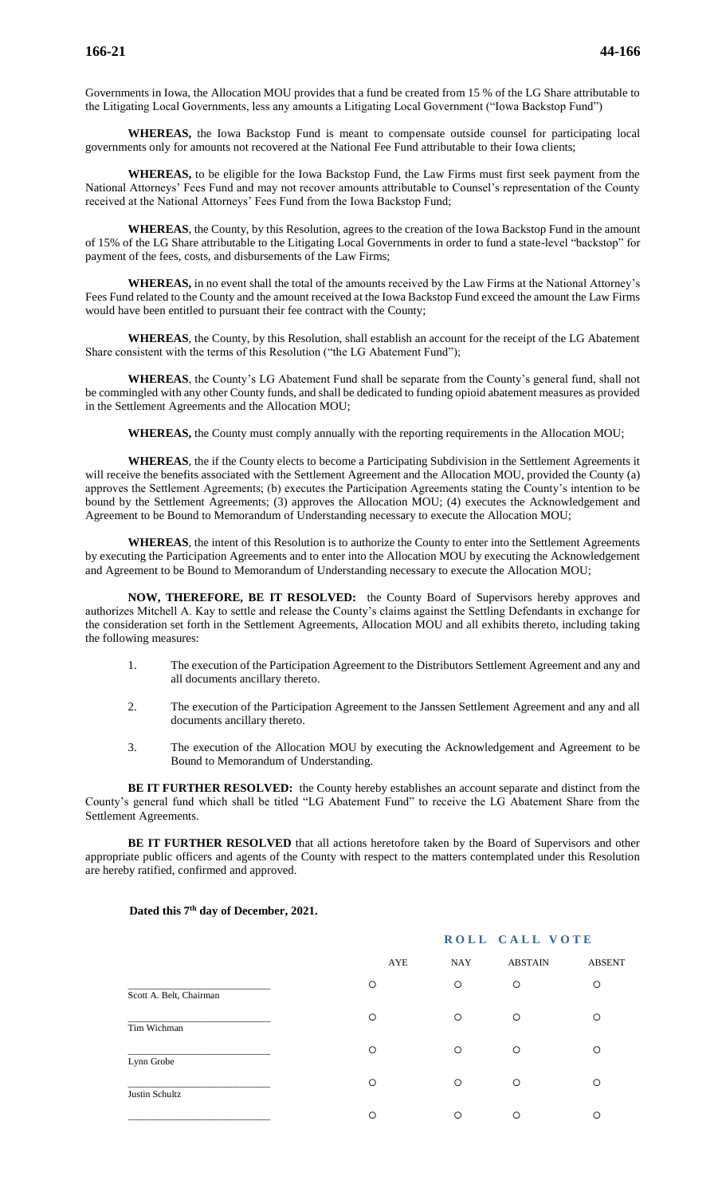Governments in Iowa, the Allocation MOU provides that a fund be created from 15 % of the LG Share attributable to the Litigating Local Governments, less any amounts a Litigating Local Government ("Iowa Backstop Fund")

**WHEREAS,** the Iowa Backstop Fund is meant to compensate outside counsel for participating local governments only for amounts not recovered at the National Fee Fund attributable to their Iowa clients;

**WHEREAS,** to be eligible for the Iowa Backstop Fund, the Law Firms must first seek payment from the National Attorneys' Fees Fund and may not recover amounts attributable to Counsel's representation of the County received at the National Attorneys' Fees Fund from the Iowa Backstop Fund;

**WHEREAS**, the County, by this Resolution, agrees to the creation of the Iowa Backstop Fund in the amount of 15% of the LG Share attributable to the Litigating Local Governments in order to fund a state-level "backstop" for payment of the fees, costs, and disbursements of the Law Firms;

**WHEREAS,** in no event shall the total of the amounts received by the Law Firms at the National Attorney's Fees Fund related to the County and the amount received at the Iowa Backstop Fund exceed the amount the Law Firms would have been entitled to pursuant their fee contract with the County;

**WHEREAS**, the County, by this Resolution, shall establish an account for the receipt of the LG Abatement Share consistent with the terms of this Resolution ("the LG Abatement Fund");

**WHEREAS**, the County's LG Abatement Fund shall be separate from the County's general fund, shall not be commingled with any other County funds, and shall be dedicated to funding opioid abatement measures as provided in the Settlement Agreements and the Allocation MOU;

**WHEREAS,** the County must comply annually with the reporting requirements in the Allocation MOU;

**WHEREAS**, the if the County elects to become a Participating Subdivision in the Settlement Agreements it will receive the benefits associated with the Settlement Agreement and the Allocation MOU, provided the County (a) approves the Settlement Agreements; (b) executes the Participation Agreements stating the County's intention to be bound by the Settlement Agreements; (3) approves the Allocation MOU; (4) executes the Acknowledgement and Agreement to be Bound to Memorandum of Understanding necessary to execute the Allocation MOU;

**WHEREAS**, the intent of this Resolution is to authorize the County to enter into the Settlement Agreements by executing the Participation Agreements and to enter into the Allocation MOU by executing the Acknowledgement and Agreement to be Bound to Memorandum of Understanding necessary to execute the Allocation MOU;

**NOW, THEREFORE, BE IT RESOLVED:** the County Board of Supervisors hereby approves and authorizes Mitchell A. Kay to settle and release the County's claims against the Settling Defendants in exchange for the consideration set forth in the Settlement Agreements, Allocation MOU and all exhibits thereto, including taking the following measures:

- 1. The execution of the Participation Agreement to the Distributors Settlement Agreement and any and all documents ancillary thereto.
- 2. The execution of the Participation Agreement to the Janssen Settlement Agreement and any and all documents ancillary thereto.
- 3. The execution of the Allocation MOU by executing the Acknowledgement and Agreement to be Bound to Memorandum of Understanding.

**BE IT FURTHER RESOLVED:** the County hereby establishes an account separate and distinct from the County's general fund which shall be titled "LG Abatement Fund" to receive the LG Abatement Share from the Settlement Agreements.

**BE IT FURTHER RESOLVED** that all actions heretofore taken by the Board of Supervisors and other appropriate public officers and agents of the County with respect to the matters contemplated under this Resolution are hereby ratified, confirmed and approved.

 **Dated this 7th day of December, 2021.**

|                         |         | <b>ROLL CALL VOTE</b> |                |               |  |
|-------------------------|---------|-----------------------|----------------|---------------|--|
|                         |         | AYE<br><b>NAY</b>     | <b>ABSTAIN</b> | <b>ABSENT</b> |  |
| Scott A. Belt, Chairman | O       | $\circ$               | O              | $\circ$       |  |
| Tim Wichman             | O       | $\circ$               | $\circ$        | O             |  |
| Lynn Grobe              | $\circ$ | $\circ$               | O              | $\circ$       |  |
| Justin Schultz          | O       | $\circ$               | O              | O             |  |
|                         | O       | $\circ$               | O              | O             |  |

# **R O L L C A L L L L C H H**